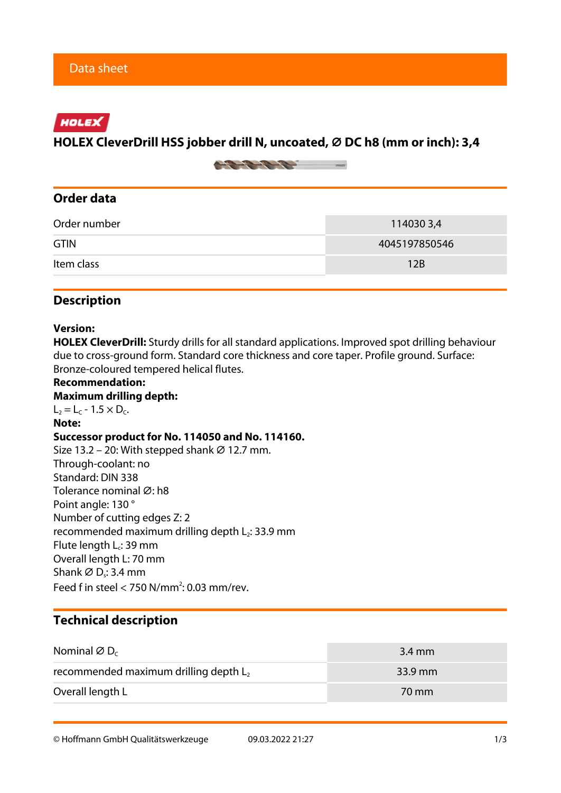## HOLEX

### **HOLEX CleverDrill HSS jobber drill N, uncoated, ⌀ DC h8 (mm or inch): 3,4**



## **Order data**

| Order number | 1140303,4     |
|--------------|---------------|
| <b>GTIN</b>  | 4045197850546 |
| Item class   | 12B           |

#### **Description**

#### **Version:**

**HOLEX CleverDrill:** Sturdy drills for all standard applications. Improved spot drilling behaviour due to cross-ground form. Standard core thickness and core taper. Profile ground. Surface: Bronze-coloured tempered helical flutes.

**Recommendation: Maximum drilling depth:**  $L_2 = L_c - 1.5 \times D_c$ . **Note: Successor product for No. 114050 and No. 114160.** Size 13.2 – 20: With stepped shank  $\varnothing$  12.7 mm. Through-coolant: no Standard: DIN 338 Tolerance nominal Ø: h8 Point angle: 130 ° Number of cutting edges Z: 2 recommended maximum drilling depth  $L_2$ : 33.9 mm Flute length  $L_c$ : 39 mm Overall length L: 70 mm Shank  $\varnothing$  D $\square$ : 3.4 mm Feed f in steel  $<$  750 N/mm<sup>2</sup>: 0.03 mm/rev.

## **Technical description**

| Nominal $\varnothing$ D <sub>c</sub>     | $3.4 \text{ mm}$ |
|------------------------------------------|------------------|
| recommended maximum drilling depth $L_2$ | $33.9$ mm        |
| Overall length L                         | 70 mm            |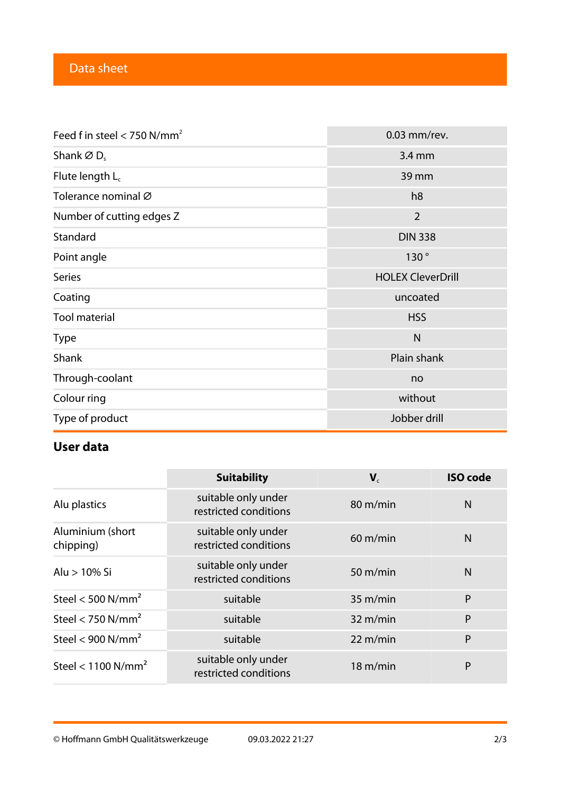| Feed f in steel $<$ 750 N/mm <sup>2</sup> | 0.03 mm/rev.             |  |  |
|-------------------------------------------|--------------------------|--|--|
| Shank $\varnothing$ D <sub>s</sub>        | 3.4 mm                   |  |  |
| Flute length $L_c$                        | 39 mm                    |  |  |
| Tolerance nominal Ø                       | h <sub>8</sub>           |  |  |
| Number of cutting edges Z                 | $\overline{2}$           |  |  |
| Standard                                  | <b>DIN 338</b>           |  |  |
| Point angle                               | 130°                     |  |  |
| <b>Series</b>                             | <b>HOLEX CleverDrill</b> |  |  |
| Coating                                   | uncoated                 |  |  |
| <b>Tool material</b>                      | <b>HSS</b>               |  |  |
| <b>Type</b>                               | $\mathsf{N}$             |  |  |
| Shank                                     | Plain shank              |  |  |
| Through-coolant                           | no                       |  |  |
| Colour ring                               | without                  |  |  |
| Type of product                           | Jobber drill             |  |  |

# **User data**

|                                  | <b>Suitability</b>                           | ${\bf V}_c$        | <b>ISO code</b> |
|----------------------------------|----------------------------------------------|--------------------|-----------------|
| Alu plastics                     | suitable only under<br>restricted conditions | 80 m/min           | N               |
| Aluminium (short<br>chipping)    | suitable only under<br>restricted conditions | $60 \text{ m/min}$ | N               |
| Alu > 10% Si                     | suitable only under<br>restricted conditions | $50 \text{ m/min}$ | $\mathsf{N}$    |
| Steel < 500 $N/mm^2$             | suitable                                     | 35 m/min           | P               |
| Steel < 750 $N/mm2$              | suitable                                     | $32 \text{ m/min}$ | P               |
| Steel < $900$ N/mm <sup>2</sup>  | suitable                                     | 22 m/min           | P               |
| Steel < $1100$ N/mm <sup>2</sup> | suitable only under<br>restricted conditions | $18 \text{ m/min}$ | P               |